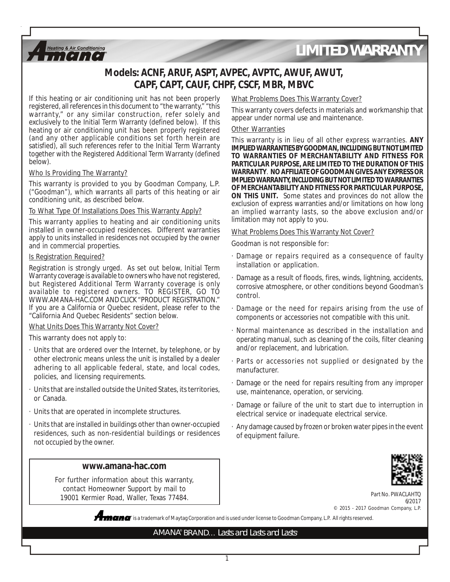

# *LIMITED WARRANTY*

# **Models: ACNF, ARUF, ASPT, AVPEC, AVPTC, AWUF, AWUT, CAPF, CAPT, CAUF, CHPF, CSCF, MBR, MBVC**

If this heating or air conditioning unit has not been properly registered, all references in this document to "the warranty," "this warranty," or any similar construction, refer solely and exclusively to the Initial Term Warranty (defined below). If this heating or air conditioning unit has been properly registered (and any other applicable conditions set forth herein are satisfied), all such references refer to the Initial Term Warranty together with the Registered Additional Term Warranty (defined below).

#### Who Is Providing The Warranty?

This warranty is provided to you by Goodman Company, L.P. ("Goodman"), which warrants all parts of this heating or air conditioning unit, as described below.

#### To What Type Of Installations Does This Warranty Apply?

This warranty applies to heating and air conditioning units installed in owner-occupied residences. Different warranties apply to units installed in residences not occupied by the owner and in commercial properties.

#### Is Registration Required?

Registration is strongly urged. As set out below, Initial Term Warranty coverage is available to owners who have not registered, but Registered Additional Term Warranty coverage is only available to registered owners. TO REGISTER, GO TO WWW.AMANA-HAC.COM AND CLICK "PRODUCT REGISTRATION." If you are a California or Quebec resident, please refer to the "California And Quebec Residents" section below.

#### What Units Does This Warranty Not Cover?

This warranty does not apply to:

- · Units that are ordered over the Internet, by telephone, or by other electronic means unless the unit is installed by a dealer adhering to all applicable federal, state, and local codes, policies, and licensing requirements.
- · Units that are installed outside the United States, its territories, or Canada.
- · Units that are operated in incomplete structures.
- · Units that are installed in buildings other than owner-occupied residences, such as non-residential buildings or residences not occupied by the owner.

### **www.amana-hac.com**

For further information about this warranty, contact Homeowner Support by mail to 19001 Kermier Road, Waller, Texas 77484.



#### What Problems Does This Warranty Cover?

This warranty covers defects in materials and workmanship that appear under normal use and maintenance.

#### Other Warranties

This warranty is in lieu of all other express warranties. **ANY IMPLIED WARRANTIES BY GOODMAN, INCLUDING BUT NOT LIMITED TO WARRANTIES OF MERCHANTABILITY AND FITNESS FOR PARTICULAR PURPOSE, ARE LIMITED TO THE DURATION OF THIS WARRANTY**. **NO AFFILIATE OF GOODMAN GIVES ANY EXPRESS OR IMPLIED WARRANTY, INCLUDING BUT NOT LIMITED TO WARRANTIES OF MERCHANTABILITY AND FITNESS FOR PARTICULAR PURPOSE, ON THIS UNIT.** Some states and provinces do not allow the exclusion of express warranties and/or limitations on how long an implied warranty lasts, so the above exclusion and/or limitation may not apply to you.

#### What Problems Does This Warranty Not Cover?

Goodman is not responsible for:

- · Damage or repairs required as a consequence of faulty installation or application.
- · Damage as a result of floods, fires, winds, lightning, accidents, corrosive atmosphere, or other conditions beyond Goodman's control.
- Damage or the need for repairs arising from the use of components or accessories not compatible with this unit.
- · Normal maintenance as described in the installation and operating manual, such as cleaning of the coils, filter cleaning and/or replacement, and lubrication.
- · Parts or accessories not supplied or designated by the manufacturer.
- · Damage or the need for repairs resulting from any improper use, maintenance, operation, or servicing.
- · Damage or failure of the unit to start due to interruption in electrical service or inadequate electrical service.
- · Any damage caused by frozen or broken water pipes in the event of equipment failure.



Part No. PWACLAHTQ 6/2017 © 2015 - 2017 Goodman Company, L.P.

**®** is a trademark of Maytag Corporation and is used under license to Goodman Company, L.P. All rights reserved.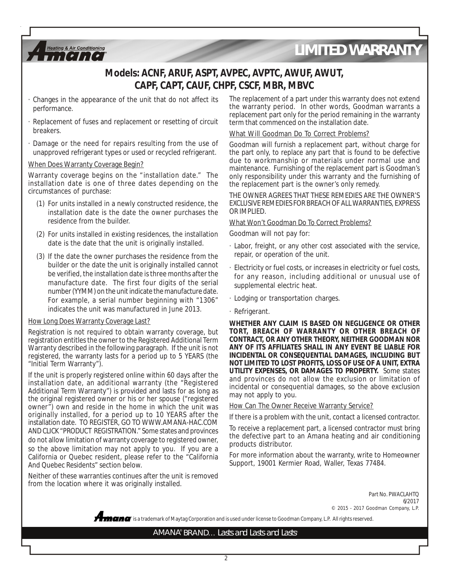

- · Changes in the appearance of the unit that do not affect its performance.
- · Replacement of fuses and replacement or resetting of circuit breakers.
- · Damage or the need for repairs resulting from the use of unapproved refrigerant types or used or recycled refrigerant.

#### When Does Warranty Coverage Begin?

**Heating & Air Conditioning**  $[0, 1, 10]$ 

Warranty coverage begins on the "installation date." The installation date is one of three dates depending on the circumstances of purchase:

- (1) For units installed in a newly constructed residence, the installation date is the date the owner purchases the residence from the builder.
- (2) For units installed in existing residences, the installation date is the date that the unit is originally installed.
- (3) If the date the owner purchases the residence from the builder or the date the unit is originally installed cannot be verified, the installation date is three months after the manufacture date. The first four digits of the serial number (YYMM) on the unit indicate the manufacture date. For example, a serial number beginning with "1306" indicates the unit was manufactured in June 2013.

#### How Long Does Warranty Coverage Last?

Registration is not required to obtain warranty coverage, but registration entitles the owner to the Registered Additional Term Warranty described in the following paragraph. If the unit is not registered, the warranty lasts for a period up to 5 YEARS (the "Initial Term Warranty").

If the unit is properly registered online within 60 days after the installation date, an additional warranty (the "Registered Additional Term Warranty") is provided and lasts for as long as the original registered owner or his or her spouse ("registered owner") own and reside in the home in which the unit was originally installed, for a period up to 10 YEARS after the installation date. TO REGISTER, GO TO WWW.AMANA-HAC.COM AND CLICK "PRODUCT REGISTRATION." Some states and provinces do not allow limitation of warranty coverage to registered owner, so the above limitation may not apply to you. If you are a California or Quebec resident, please refer to the "California And Quebec Residents" section below.

Neither of these warranties continues after the unit is removed from the location where it was originally installed.

The replacement of a part under this warranty does not extend the warranty period. In other words, Goodman warrants a replacement part only for the period remaining in the warranty term that commenced on the installation date.

#### What Will Goodman Do To Correct Problems?

Goodman will furnish a replacement part, without charge for the part only, to replace any part that is found to be defective due to workmanship or materials under normal use and maintenance. Furnishing of the replacement part is Goodman's only responsibility under this warranty and the furnishing of the replacement part is the owner's only remedy.

THE OWNER AGREES THAT THESE REMEDIES ARE THE OWNER'S EXCLUSIVE REMEDIES FOR BREACH OF ALL WARRANTIES, EXPRESS OR IMPLIED.

#### What Won't Goodman Do To Correct Problems?

Goodman will not pay for:

- · Labor, freight, or any other cost associated with the service, repair, or operation of the unit.
- · Electricity or fuel costs, or increases in electricity or fuel costs, for any reason, including additional or unusual use of supplemental electric heat.
- · Lodging or transportation charges.
- · Refrigerant.

**WHETHER ANY CLAIM IS BASED ON NEGLIGENCE OR OTHER TORT, BREACH OF WARRANTY OR OTHER BREACH OF CONTRACT, OR ANY OTHER THEORY, NEITHER GOODMAN NOR ANY OF ITS AFFILIATES SHALL IN ANY EVENT BE LIABLE FOR INCIDENTAL OR CONSEQUENTIAL DAMAGES, INCLUDING BUT NOT LIMITED TO LOST PROFITS, LOSS OF USE OF A UNIT, EXTRA UTILITY EXPENSES, OR DAMAGES TO PROPERTY.** Some states and provinces do not allow the exclusion or limitation of incidental or consequential damages, so the above exclusion may not apply to you.

How Can The Owner Receive Warranty Service?

If there is a problem with the unit, contact a licensed contractor.

To receive a replacement part, a licensed contractor must bring the defective part to an Amana heating and air conditioning products distributor.

For more information about the warranty, write to Homeowner Support, 19001 Kermier Road, Waller, Texas 77484.

> Part No. PWACLAHTQ 6/2017 © 2015 - 2017 Goodman Company, L.P.

**®** is a trademark of Maytag Corporation and is used under license to Goodman Company, L.P. All rights reserved.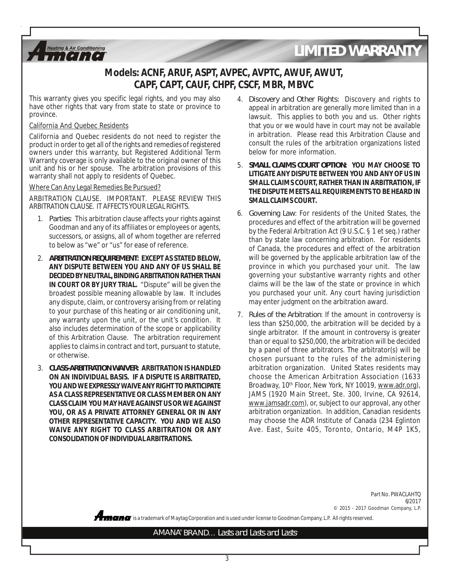

This warranty gives you specific legal rights, and you may also have other rights that vary from state to state or province to province.

### California And Quebec Residents

**Heating & Air Conditioning**  $[0, 1, 10]$ 

California and Quebec residents do not need to register the product in order to get all of the rights and remedies of registered owners under this warranty, but Registered Additional Term Warranty coverage is only available to the original owner of this unit and his or her spouse. The arbitration provisions of this warranty shall not apply to residents of Quebec.

#### Where Can Any Legal Remedies Be Pursued?

ARBITRATION CLAUSE. IMPORTANT. PLEASE REVIEW THIS ARBITRATION CLAUSE. IT AFFECTS YOUR LEGAL RIGHTS.

- 1. *Parties*: This arbitration clause affects your rights against Goodman and any of its affiliates or employees or agents, successors, or assigns, all of whom together are referred to below as "we" or "us" for ease of reference.
- 2. *ARBITRATION REQUIREMENT***: EXCEPT AS STATED BELOW, ANY DISPUTE BETWEEN YOU AND ANY OF US SHALL BE DECIDED BY NEUTRAL, BINDING ARBITRATION RATHER THAN IN COURT OR BY JURY TRIAL.** "Dispute" will be given the broadest possible meaning allowable by law. It includes any dispute, claim, or controversy arising from or relating to your purchase of this heating or air conditioning unit, any warranty upon the unit, or the unit's condition. It also includes determination of the scope or applicability of this Arbitration Clause. The arbitration requirement applies to claims in contract and tort, pursuant to statute, or otherwise.
- 3. *CLASS-ARBITRATION WAIVER***: ARBITRATION IS HANDLED ON AN INDIVIDUAL BASIS. IF A DISPUTE IS ARBITRATED, YOU AND WE EXPRESSLY WAIVE ANY RIGHT TO PARTICIPATE AS A CLASS REPRESENTATIVE OR CLASS MEMBER ON ANY CLASS CLAIM YOU MAY HAVE AGAINST US OR WE AGAINST YOU, OR AS A PRIVATE ATTORNEY GENERAL OR IN ANY OTHER REPRESENTATIVE CAPACITY. YOU AND WE ALSO WAIVE ANY RIGHT TO CLASS ARBITRATION OR ANY CONSOLIDATION OF INDIVIDUAL ARBITRATIONS.**
- 4. *Discovery and Other Rights*: Discovery and rights to appeal in arbitration are generally more limited than in a lawsuit. This applies to both you and us. Other rights that you or we would have in court may not be available in arbitration. Please read this Arbitration Clause and consult the rules of the arbitration organizations listed below for more information.
- 5. *SMALL CLAIMS COURT OPTION***: YOU MAY CHOOSE TO LITIGATE ANY DISPUTE BETWEEN YOU AND ANY OF US IN SMALL CLAIMS COURT, RATHER THAN IN ARBITRATION, IF THE DISPUTE MEETS ALL REQUIREMENTS TO BE HEARD IN SMALL CLAIMS COURT.**
- 6. *Governing Law*: For residents of the United States, the procedures and effect of the arbitration will be governed by the Federal Arbitration Act (9 U.S.C. § 1 et seq.) rather than by state law concerning arbitration. For residents of Canada, the procedures and effect of the arbitration will be governed by the applicable arbitration law of the province in which you purchased your unit. The law governing your substantive warranty rights and other claims will be the law of the state or province in which you purchased your unit. Any court having jurisdiction may enter judgment on the arbitration award.
- 7. *Rules of the Arbitration*: If the amount in controversy is less than \$250,000, the arbitration will be decided by a single arbitrator. If the amount in controversy is greater than or equal to \$250,000, the arbitration will be decided by a panel of three arbitrators. The arbitrator(s) will be chosen pursuant to the rules of the administering arbitration organization. United States residents may choose the American Arbitration Association (1633 Broadway, 10<sup>th</sup> Floor, New York, NY 10019, www.adr.org), JAMS (1920 Main Street, Ste. 300, Irvine, CA 92614, www.jamsadr.com), or, subject to our approval, any other arbitration organization. In addition, Canadian residents may choose the ADR Institute of Canada (234 Eglinton Ave. East, Suite 405, Toronto, Ontario, M4P 1K5,

Part No. PWACLAHTQ 6/2017 © 2015 - 2017 Goodman Company, L.P.

**®** is a trademark of Maytag Corporation and is used under license to Goodman Company, L.P. All rights reserved.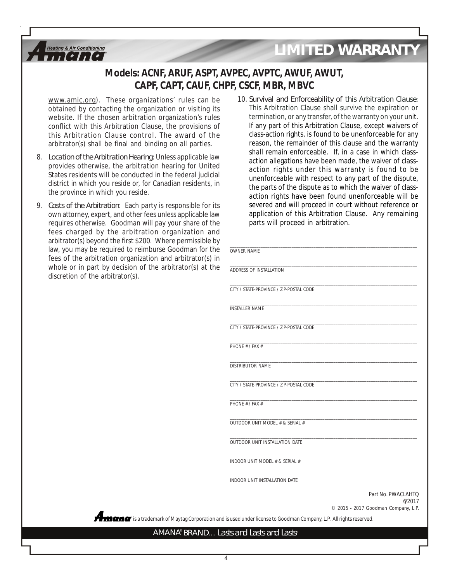

www.amic.org). These organizations' rules can be obtained by contacting the organization or visiting its website. If the chosen arbitration organization's rules conflict with this Arbitration Clause, the provisions of this Arbitration Clause control. The award of the arbitrator(s) shall be final and binding on all parties.

**Heating & Air Conditioning**  $\lceil$   $\cdot$   $\rceil$  ,  $\lceil$   $\cdot$   $\rceil$ 

- 8. *Location of the Arbitration Hearing*: Unless applicable law provides otherwise, the arbitration hearing for United States residents will be conducted in the federal judicial district in which you reside or, for Canadian residents, in the province in which you reside.
- 9. *Costs of the Arbitration*: Each party is responsible for its own attorney, expert, and other fees unless applicable law requires otherwise. Goodman will pay your share of the fees charged by the arbitration organization and arbitrator(s) beyond the first \$200. Where permissible by law, you may be required to reimburse Goodman for the fees of the arbitration organization and arbitrator(s) in whole or in part by decision of the arbitrator(s) at the discretion of the arbitrator(s).
- 10. *Survival and Enforceability of this Arbitration Clause*: This Arbitration Clause shall survive the expiration or termination, or any transfer, of the warranty on your unit. If any part of this Arbitration Clause, except waivers of class-action rights, is found to be unenforceable for any reason, the remainder of this clause and the warranty shall remain enforceable. If, in a case in which classaction allegations have been made, the waiver of classaction rights under this warranty is found to be unenforceable with respect to any part of the dispute, the parts of the dispute as to which the waiver of classaction rights have been found unenforceable will be severed and will proceed in court without reference or application of this Arbitration Clause. Any remaining parts will proceed in arbitration.

| OWNER NAME                              |                                                                     |
|-----------------------------------------|---------------------------------------------------------------------|
| ADDRESS OF INSTALLATION                 |                                                                     |
| CITY / STATE-PROVINCE / ZIP-POSTAL CODE |                                                                     |
| <b>INSTALLER NAME</b>                   |                                                                     |
| CITY / STATE-PROVINCE / ZIP-POSTAL CODE |                                                                     |
| PHONF # / FAX #                         |                                                                     |
| DISTRIBUTOR NAME                        |                                                                     |
| CITY / STATE-PROVINCE / ZIP-POSTAL CODE |                                                                     |
| PHONE # / FAX #                         |                                                                     |
| OUTDOOR UNIT MODEL # & SERIAL #         |                                                                     |
| OUTDOOR UNIT INSTALLATION DATE          |                                                                     |
| INDOOR UNIT MODEL # & SERIAL #          |                                                                     |
| INDOOR UNIT INSTALLATION DATE           |                                                                     |
|                                         | Part No. PWACLAHTO<br>6/2017<br>© 2015 - 2017 Goodman Company, L.P. |

**®** is a trademark of Maytag Corporation and is used under license to Goodman Company, L.P. All rights reserved.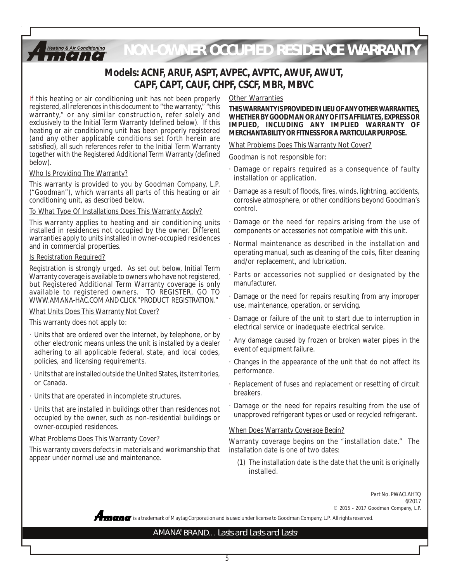*NON-OWNER OCCUPIED RESIDENCE WARRANTY*

# **Models: ACNF, ARUF, ASPT, AVPEC, AVPTC, AWUF, AWUT, CAPF, CAPT, CAUF, CHPF, CSCF, MBR, MBVC**

If this heating or air conditioning unit has not been properly registered, all references in this document to "the warranty," "this warranty," or any similar construction, refer solely and exclusively to the Initial Term Warranty (defined below). If this heating or air conditioning unit has been properly registered (and any other applicable conditions set forth herein are satisfied), all such references refer to the Initial Term Warranty together with the Registered Additional Term Warranty (defined below).

#### Who Is Providing The Warranty?

**Heating & Air Conditioning**  $[0, 1, 10]$ 

This warranty is provided to you by Goodman Company, L.P. ("Goodman"), which warrants all parts of this heating or air conditioning unit, as described below.

## To What Type Of Installations Does This Warranty Apply?

This warranty applies to heating and air conditioning units installed in residences not occupied by the owner. Different warranties apply to units installed in owner-occupied residences and in commercial properties.

#### Is Registration Required?

Registration is strongly urged. As set out below, Initial Term Warranty coverage is available to owners who have not registered, but Registered Additional Term Warranty coverage is only available to registered owners. TO REGISTER, GO TO WWW.AMANA-HAC.COM AND CLICK "PRODUCT REGISTRATION."

#### What Units Does This Warranty Not Cover?

This warranty does not apply to:

- · Units that are ordered over the Internet, by telephone, or by other electronic means unless the unit is installed by a dealer adhering to all applicable federal, state, and local codes, policies, and licensing requirements.
- · Units that are installed outside the United States, its territories, or Canada.
- · Units that are operated in incomplete structures.
- · Units that are installed in buildings other than residences not occupied by the owner, such as non-residential buildings or owner-occupied residences.

#### What Problems Does This Warranty Cover?

This warranty covers defects in materials and workmanship that appear under normal use and maintenance.

### Other Warranties

**THIS WARRANTY IS PROVIDED IN LIEU OF ANY OTHER WARRANTIES, WHETHER BY GOODMAN OR ANY OF ITS AFFILIATES, EXPRESS OR IMPLIED, INCLUDING ANY IMPLIED WARRANTY OF MERCHANTABILITY OR FITNESS FOR A PARTICULAR PURPOSE.**

### What Problems Does This Warranty Not Cover?

Goodman is not responsible for:

- · Damage or repairs required as a consequence of faulty installation or application.
- Damage as a result of floods, fires, winds, lightning, accidents, corrosive atmosphere, or other conditions beyond Goodman's control.
- Damage or the need for repairs arising from the use of components or accessories not compatible with this unit.
- Normal maintenance as described in the installation and operating manual, such as cleaning of the coils, filter cleaning and/or replacement, and lubrication.
- Parts or accessories not supplied or designated by the manufacturer.
- Damage or the need for repairs resulting from any improper use, maintenance, operation, or servicing.
- · Damage or failure of the unit to start due to interruption in electrical service or inadequate electrical service.
- · Any damage caused by frozen or broken water pipes in the event of equipment failure.
- · Changes in the appearance of the unit that do not affect its performance.
- · Replacement of fuses and replacement or resetting of circuit breakers.
- Damage or the need for repairs resulting from the use of unapproved refrigerant types or used or recycled refrigerant.

#### When Does Warranty Coverage Begin?

Warranty coverage begins on the "installation date." The installation date is one of two dates:

(1) The installation date is the date that the unit is originally installed.

> Part No. PWACLAHTQ 6/2017 © 2015 - 2017 Goodman Company, L.P.

**®** is a trademark of Maytag Corporation and is used under license to Goodman Company, L.P. All rights reserved.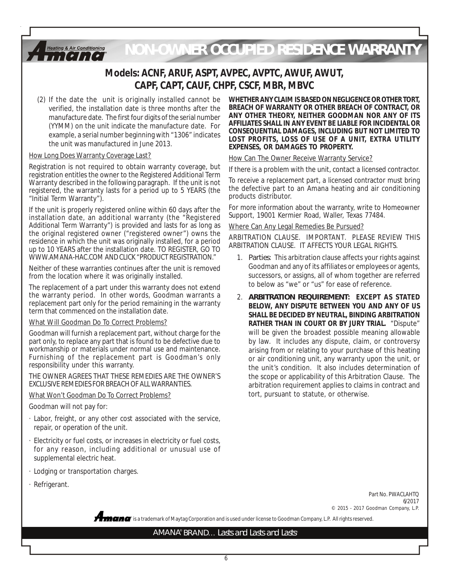*NON-OWNER OCCUPIED RESIDENCE WARRANTY*

# **Models: ACNF, ARUF, ASPT, AVPEC, AVPTC, AWUF, AWUT, CAPF, CAPT, CAUF, CHPF, CSCF, MBR, MBVC**

(2) If the date the unit is originally installed cannot be verified, the installation date is three months after the manufacture date. The first four digits of the serial number (YYMM) on the unit indicate the manufacture date. For example, a serial number beginning with "1306" indicates the unit was manufactured in June 2013.

#### How Long Does Warranty Coverage Last?

**Heating & Air Conditioning**  $[0, 1, 10]$ 

Registration is not required to obtain warranty coverage, but registration entitles the owner to the Registered Additional Term Warranty described in the following paragraph. If the unit is not registered, the warranty lasts for a period up to 5 YEARS (the "Initial Term Warranty").

If the unit is properly registered online within 60 days after the installation date, an additional warranty (the "Registered Additional Term Warranty") is provided and lasts for as long as the original registered owner ("registered owner") owns the residence in which the unit was originally installed, for a period up to 10 YEARS after the installation date. TO REGISTER, GO TO WWW.AMANA-HAC.COM AND CLICK "PRODUCT REGISTRATION."

Neither of these warranties continues after the unit is removed from the location where it was originally installed.

The replacement of a part under this warranty does not extend the warranty period. In other words, Goodman warrants a replacement part only for the period remaining in the warranty term that commenced on the installation date.

#### What Will Goodman Do To Correct Problems?

Goodman will furnish a replacement part, without charge for the part only, to replace any part that is found to be defective due to workmanship or materials under normal use and maintenance. Furnishing of the replacement part is Goodman's only responsibility under this warranty.

THE OWNER AGREES THAT THESE REMEDIES ARE THE OWNER'S EXCLUSIVE REMEDIES FOR BREACH OF ALL WARRANTIES.

#### What Won't Goodman Do To Correct Problems?

Goodman will not pay for:

- · Labor, freight, or any other cost associated with the service, repair, or operation of the unit.
- · Electricity or fuel costs, or increases in electricity or fuel costs, for any reason, including additional or unusual use of supplemental electric heat.
- · Lodging or transportation charges.
- · Refrigerant.

**WHETHER ANY CLAIM IS BASED ON NEGLIGENCE OR OTHER TORT, BREACH OF WARRANTY OR OTHER BREACH OF CONTRACT, OR ANY OTHER THEORY, NEITHER GOODMAN NOR ANY OF ITS AFFILIATES SHALL IN ANY EVENT BE LIABLE FOR INCIDENTAL OR CONSEQUENTIAL DAMAGES, INCLUDING BUT NOT LIMITED TO LOST PROFITS, LOSS OF USE OF A UNIT, EXTRA UTILITY EXPENSES, OR DAMAGES TO PROPERTY.**

## How Can The Owner Receive Warranty Service?

If there is a problem with the unit, contact a licensed contractor.

To receive a replacement part, a licensed contractor must bring the defective part to an Amana heating and air conditioning products distributor.

For more information about the warranty, write to Homeowner Support, 19001 Kermier Road, Waller, Texas 77484.

#### Where Can Any Legal Remedies Be Pursued?

ARBITRATION CLAUSE. IMPORTANT. PLEASE REVIEW THIS ARBITRATION CLAUSE. IT AFFECTS YOUR LEGAL RIGHTS.

- 1. *Parties*: This arbitration clause affects your rights against Goodman and any of its affiliates or employees or agents, successors, or assigns, all of whom together are referred to below as "we" or "us" for ease of reference.
- 2. *ARBITRATION REQUIREMENT***: EXCEPT AS STATED BELOW, ANY DISPUTE BETWEEN YOU AND ANY OF US SHALL BE DECIDED BY NEUTRAL, BINDING ARBITRATION RATHER THAN IN COURT OR BY JURY TRIAL.** "Dispute" will be given the broadest possible meaning allowable by law. It includes any dispute, claim, or controversy arising from or relating to your purchase of this heating or air conditioning unit, any warranty upon the unit, or the unit's condition. It also includes determination of the scope or applicability of this Arbitration Clause. The arbitration requirement applies to claims in contract and tort, pursuant to statute, or otherwise.

Part No. PWACLAHTQ 6/2017 © 2015 - 2017 Goodman Company, L.P.

**®** is a trademark of Maytag Corporation and is used under license to Goodman Company, L.P. All rights reserved.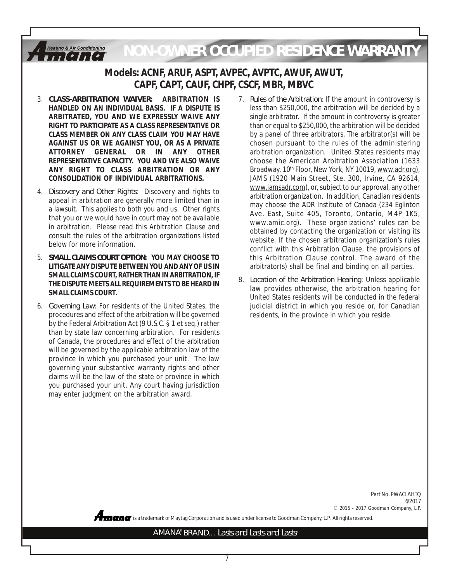*NON-OWNER OCCUPIED RESIDENCE WARRANTY***Heating & Air Conditioning** 

# **Models: ACNF, ARUF, ASPT, AVPEC, AVPTC, AWUF, AWUT, CAPF, CAPT, CAUF, CHPF, CSCF, MBR, MBVC**

- 3. *CLASS-ARBITRATION WAIVER***: ARBITRATION IS HANDLED ON AN INDIVIDUAL BASIS. IF A DISPUTE IS ARBITRATED, YOU AND WE EXPRESSLY WAIVE ANY RIGHT TO PARTICIPATE AS A CLASS REPRESENTATIVE OR CLASS MEMBER ON ANY CLASS CLAIM YOU MAY HAVE AGAINST US OR WE AGAINST YOU, OR AS A PRIVATE ATTORNEY GENERAL OR IN ANY OTHER REPRESENTATIVE CAPACITY. YOU AND WE ALSO WAIVE ANY RIGHT TO CLASS ARBITRATION OR ANY CONSOLIDATION OF INDIVIDUAL ARBITRATIONS.**
- 4. *Discovery and Other Rights*: Discovery and rights to appeal in arbitration are generally more limited than in a lawsuit. This applies to both you and us. Other rights that you or we would have in court may not be available in arbitration. Please read this Arbitration Clause and consult the rules of the arbitration organizations listed below for more information.
- 5. *SMALL CLAIMS COURT OPTION***: YOU MAY CHOOSE TO LITIGATE ANY DISPUTE BETWEEN YOU AND ANY OF US IN SMALL CLAIMS COURT, RATHER THAN IN ARBITRATION, IF THE DISPUTE MEETS ALL REQUIREMENTS TO BE HEARD IN SMALL CLAIMS COURT.**
- 6. *Governing Law*: For residents of the United States, the procedures and effect of the arbitration will be governed by the Federal Arbitration Act (9 U.S.C. § 1 et seq.) rather than by state law concerning arbitration. For residents of Canada, the procedures and effect of the arbitration will be governed by the applicable arbitration law of the province in which you purchased your unit. The law governing your substantive warranty rights and other claims will be the law of the state or province in which you purchased your unit. Any court having jurisdiction may enter judgment on the arbitration award.
- 7. *Rules of the Arbitration*: If the amount in controversy is less than \$250,000, the arbitration will be decided by a single arbitrator. If the amount in controversy is greater than or equal to \$250,000, the arbitration will be decided by a panel of three arbitrators. The arbitrator(s) will be chosen pursuant to the rules of the administering arbitration organization. United States residents may choose the American Arbitration Association (1633 Broadway, 10<sup>th</sup> Floor, New York, NY 10019, www.adr.org), JAMS (1920 Main Street, Ste. 300, Irvine, CA 92614, www.jamsadr.com), or, subject to our approval, any other arbitration organization. In addition, Canadian residents may choose the ADR Institute of Canada (234 Eglinton Ave. East, Suite 405, Toronto, Ontario, M4P 1K5, www.amic.org). These organizations' rules can be obtained by contacting the organization or visiting its website. If the chosen arbitration organization's rules conflict with this Arbitration Clause, the provisions of this Arbitration Clause control. The award of the arbitrator(s) shall be final and binding on all parties.
- 8. *Location of the Arbitration Hearing*: Unless applicable law provides otherwise, the arbitration hearing for United States residents will be conducted in the federal judicial district in which you reside or, for Canadian residents, in the province in which you reside.

Part No. PWACLAHTQ 6/2017 © 2015 - 2017 Goodman Company, L.P.

**®** is a trademark of Maytag Corporation and is used under license to Goodman Company, L.P. All rights reserved.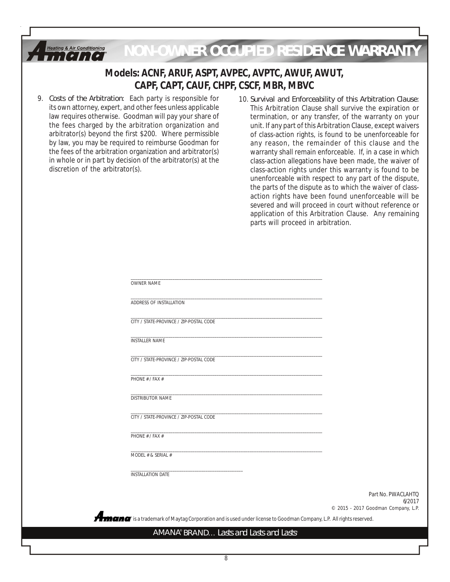

9. *Costs of the Arbitration*: Each party is responsible for its own attorney, expert, and other fees unless applicable law requires otherwise. Goodman will pay your share of the fees charged by the arbitration organization and arbitrator(s) beyond the first \$200. Where permissible by law, you may be required to reimburse Goodman for the fees of the arbitration organization and arbitrator(s) in whole or in part by decision of the arbitrator(s) at the discretion of the arbitrator(s).

 $A_{ma}$ 

10. *Survival and Enforceability of this Arbitration Clause*: This Arbitration Clause shall survive the expiration or termination, or any transfer, of the warranty on your unit. If any part of this Arbitration Clause, except waivers of class-action rights, is found to be unenforceable for any reason, the remainder of this clause and the warranty shall remain enforceable. If, in a case in which class-action allegations have been made, the waiver of class-action rights under this warranty is found to be unenforceable with respect to any part of the dispute, the parts of the dispute as to which the waiver of classaction rights have been found unenforceable will be severed and will proceed in court without reference or application of this Arbitration Clause. Any remaining parts will proceed in arbitration.

| <b>OWNER NAME</b>                                                                                            |                                               |
|--------------------------------------------------------------------------------------------------------------|-----------------------------------------------|
| ADDRESS OF INSTALLATION                                                                                      |                                               |
| CITY / STATE-PROVINCE / ZIP-POSTAL CODE                                                                      |                                               |
| <b>INSTALLER NAME</b>                                                                                        |                                               |
| CITY / STATE-PROVINCE / ZIP-POSTAL CODE                                                                      |                                               |
| PHONE # / FAX #                                                                                              |                                               |
| <b>DISTRIBUTOR NAME</b>                                                                                      |                                               |
| CITY / STATE-PROVINCE / ZIP-POSTAL CODE                                                                      |                                               |
| PHONE # / FAX #                                                                                              |                                               |
| MODEL # & SERIAL #                                                                                           |                                               |
| <b>INSTALLATION DATE</b>                                                                                     |                                               |
|                                                                                                              | Part No. PWACLAHTO                            |
|                                                                                                              | 6/2017<br>© 2015 - 2017 Goodman Company, L.P. |
| is a trademark of Maytag Corporation and is used under license to Goodman Company, L.P. All rights reserved. |                                               |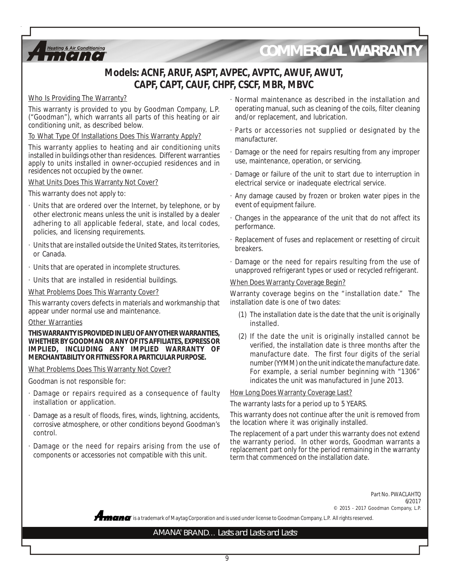

# *COMMERCIAL WARRANTY*

# **Models: ACNF, ARUF, ASPT, AVPEC, AVPTC, AWUF, AWUT, CAPF, CAPT, CAUF, CHPF, CSCF, MBR, MBVC**

### Who Is Providing The Warranty?

This warranty is provided to you by Goodman Company, L.P. ("Goodman"), which warrants all parts of this heating or air conditioning unit, as described below.

To What Type Of Installations Does This Warranty Apply?

This warranty applies to heating and air conditioning units installed in buildings other than residences. Different warranties apply to units installed in owner-occupied residences and in residences not occupied by the owner.

#### What Units Does This Warranty Not Cover?

This warranty does not apply to:

- · Units that are ordered over the Internet, by telephone, or by other electronic means unless the unit is installed by a dealer adhering to all applicable federal, state, and local codes, policies, and licensing requirements.
- · Units that are installed outside the United States, its territories, or Canada.
- · Units that are operated in incomplete structures.
- · Units that are installed in residential buildings.

What Problems Does This Warranty Cover?

This warranty covers defects in materials and workmanship that appear under normal use and maintenance.

#### Other Warranties

#### **THIS WARRANTY IS PROVIDED IN LIEU OF ANY OTHER WARRANTIES, WHETHER BY GOODMAN OR ANY OF ITS AFFILIATES, EXPRESS OR IMPLIED, INCLUDING ANY IMPLIED WARRANTY OF MERCHANTABILITY OR FITNESS FOR A PARTICULAR PURPOSE.**

What Problems Does This Warranty Not Cover?

Goodman is not responsible for:

- · Damage or repairs required as a consequence of faulty installation or application.
- · Damage as a result of floods, fires, winds, lightning, accidents, corrosive atmosphere, or other conditions beyond Goodman's control.
- · Damage or the need for repairs arising from the use of components or accessories not compatible with this unit.
- · Normal maintenance as described in the installation and operating manual, such as cleaning of the coils, filter cleaning and/or replacement, and lubrication.
- · Parts or accessories not supplied or designated by the manufacturer.
- · Damage or the need for repairs resulting from any improper use, maintenance, operation, or servicing.
- · Damage or failure of the unit to start due to interruption in electrical service or inadequate electrical service.
- · Any damage caused by frozen or broken water pipes in the event of equipment failure.
- · Changes in the appearance of the unit that do not affect its performance.
- · Replacement of fuses and replacement or resetting of circuit breakers.
- · Damage or the need for repairs resulting from the use of unapproved refrigerant types or used or recycled refrigerant.

### When Does Warranty Coverage Begin?

Warranty coverage begins on the "installation date." The installation date is one of two dates:

- (1) The installation date is the date that the unit is originally installed.
- (2) If the date the unit is originally installed cannot be verified, the installation date is three months after the manufacture date. The first four digits of the serial number (YYMM) on the unit indicate the manufacture date. For example, a serial number beginning with "1306" indicates the unit was manufactured in June 2013.

#### How Long Does Warranty Coverage Last?

The warranty lasts for a period up to 5 YEARS.

This warranty does not continue after the unit is removed from the location where it was originally installed.

The replacement of a part under this warranty does not extend the warranty period. In other words, Goodman warrants a replacement part only for the period remaining in the warranty term that commenced on the installation date.

**®** is a trademark of Maytag Corporation and is used under license to Goodman Company, L.P. All rights reserved. Part No. PWACLAHTQ 6/2017 © 2015 - 2017 Goodman Company, L.P.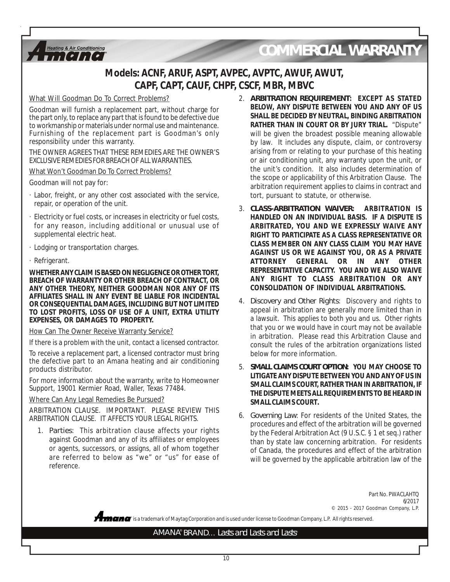

# *COMMERCIAL WARRANTY*

# **Models: ACNF, ARUF, ASPT, AVPEC, AVPTC, AWUF, AWUT, CAPF, CAPT, CAUF, CHPF, CSCF, MBR, MBVC**

### What Will Goodman Do To Correct Problems?

Goodman will furnish a replacement part, without charge for the part only, to replace any part that is found to be defective due to workmanship or materials under normal use and maintenance. Furnishing of the replacement part is Goodman's only responsibility under this warranty.

THE OWNER AGREES THAT THESE REMEDIES ARE THE OWNER'S EXCLUSIVE REMEDIES FOR BREACH OF ALL WARRANTIES.

What Won't Goodman Do To Correct Problems?

Goodman will not pay for:

- · Labor, freight, or any other cost associated with the service, repair, or operation of the unit.
- · Electricity or fuel costs, or increases in electricity or fuel costs, for any reason, including additional or unusual use of supplemental electric heat.
- · Lodging or transportation charges.
- · Refrigerant.

**WHETHER ANY CLAIM IS BASED ON NEGLIGENCE OR OTHER TORT, BREACH OF WARRANTY OR OTHER BREACH OF CONTRACT, OR ANY OTHER THEORY, NEITHER GOODMAN NOR ANY OF ITS AFFILIATES SHALL IN ANY EVENT BE LIABLE FOR INCIDENTAL OR CONSEQUENTIAL DAMAGES, INCLUDING BUT NOT LIMITED TO LOST PROFITS, LOSS OF USE OF A UNIT, EXTRA UTILITY EXPENSES, OR DAMAGES TO PROPERTY.**

## How Can The Owner Receive Warranty Service?

If there is a problem with the unit, contact a licensed contractor.

To receive a replacement part, a licensed contractor must bring the defective part to an Amana heating and air conditioning products distributor.

For more information about the warranty, write to Homeowner Support, 19001 Kermier Road, Waller, Texas 77484.

Where Can Any Legal Remedies Be Pursued?

ARBITRATION CLAUSE. IMPORTANT. PLEASE REVIEW THIS ARBITRATION CLAUSE. IT AFFECTS YOUR LEGAL RIGHTS.

1. *Parties*: This arbitration clause affects your rights against Goodman and any of its affiliates or employees or agents, successors, or assigns, all of whom together are referred to below as "we" or "us" for ease of reference.

- 2. *ARBITRATION REQUIREMENT***: EXCEPT AS STATED BELOW, ANY DISPUTE BETWEEN YOU AND ANY OF US SHALL BE DECIDED BY NEUTRAL, BINDING ARBITRATION RATHER THAN IN COURT OR BY JURY TRIAL.** "Dispute" will be given the broadest possible meaning allowable by law. It includes any dispute, claim, or controversy arising from or relating to your purchase of this heating or air conditioning unit, any warranty upon the unit, or the unit's condition. It also includes determination of the scope or applicability of this Arbitration Clause. The arbitration requirement applies to claims in contract and tort, pursuant to statute, or otherwise.
- 3. *CLASS-ARBITRATION WAIVER***: ARBITRATION IS HANDLED ON AN INDIVIDUAL BASIS. IF A DISPUTE IS ARBITRATED, YOU AND WE EXPRESSLY WAIVE ANY RIGHT TO PARTICIPATE AS A CLASS REPRESENTATIVE OR CLASS MEMBER ON ANY CLASS CLAIM YOU MAY HAVE AGAINST US OR WE AGAINST YOU, OR AS A PRIVATE ATTORNEY GENERAL OR IN ANY OTHER REPRESENTATIVE CAPACITY. YOU AND WE ALSO WAIVE ANY RIGHT TO CLASS ARBITRATION OR ANY CONSOLIDATION OF INDIVIDUAL ARBITRATIONS.**
- 4. *Discovery and Other Rights*: Discovery and rights to appeal in arbitration are generally more limited than in a lawsuit. This applies to both you and us. Other rights that you or we would have in court may not be available in arbitration. Please read this Arbitration Clause and consult the rules of the arbitration organizations listed below for more information.
- 5. *SMALL CLAIMS COURT OPTION***: YOU MAY CHOOSE TO LITIGATE ANY DISPUTE BETWEEN YOU AND ANY OF US IN SMALL CLAIMS COURT, RATHER THAN IN ARBITRATION, IF THE DISPUTE MEETS ALL REQUIREMENTS TO BE HEARD IN SMALL CLAIMS COURT.**
- 6. *Governing Law*: For residents of the United States, the procedures and effect of the arbitration will be governed by the Federal Arbitration Act (9 U.S.C. § 1 et seq.) rather than by state law concerning arbitration. For residents of Canada, the procedures and effect of the arbitration will be governed by the applicable arbitration law of the

Part No. PWACLAHTQ

6/2017 © 2015 - 2017 Goodman Company, L.P.

**®** is a trademark of Maytag Corporation and is used under license to Goodman Company, L.P. All rights reserved.